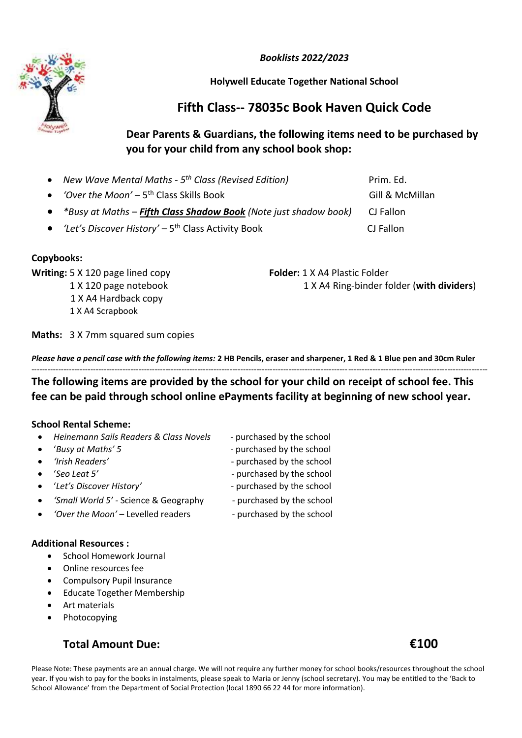*Booklists 2022/2023*

### **Holywell Educate Together National School**

# **Fifth Class-- 78035c Book Haven Quick Code**

## **Dear Parents & Guardians, the following items need to be purchased by you for your child from any school book shop:**

| New Wave Mental Maths - 5 <sup>th</sup> Class (Revised Edition)    | Prim. Ed.       |
|--------------------------------------------------------------------|-----------------|
| • <i>'Over the Moon'</i> – $5th$ Class Skills Book                 | Gill & McMillan |
| • *Busy at Maths - Fifth Class Shadow Book (Note just shadow book) | CJ Fallon       |
| • 'Let's Discover History' – $5th$ Class Activity Book             | CJ Fallon       |

#### **Copybooks:**

**Writing:** 5 X 120 page lined copy **Folder:** 1 X A4 Plastic Folder

1 X A4 Hardback copy

1 X A4 Scrapbook

1 X 120 page notebook 1 X A4 Ring-binder folder (**with dividers**)

**Maths:** 3 X 7mm squared sum copies

*Please have a pencil case with the following items:* **2 HB Pencils, eraser and sharpener, 1 Red & 1 Blue pen and 30cm Ruler** --------------------------------------------------------------------------------------------------------------------------------------------------------------------------

**The following items are provided by the school for your child on receipt of school fee. This fee can be paid through school online ePayments facility at beginning of new school year.**

#### **School Rental Scheme:**

| Heinemann Sails Readers & Class Novels | - purchased by the school |
|----------------------------------------|---------------------------|
|                                        |                           |

- *'Busy at Maths' 5* purchased by the school
- *'Irish Readers'* purchased by the school
- *'Seo Leat 5'* Purchased by the school
- '*Let's Discover History'* purchased by the school
	-
	- *'Small World 5'* Science & Geography purchased by the school
- 'Over the Moon' Levelled readers  **purchased by the school**

#### **Additional Resources :**

- School Homework Journal
- Online resources fee
- Compulsory Pupil Insurance
- Educate Together Membership
- Art materials
- Photocopying

### **Total Amount Due: €100**

Please Note: These payments are an annual charge. We will not require any further money for school books/resources throughout the school year. If you wish to pay for the books in instalments, please speak to Maria or Jenny (school secretary). You may be entitled to the 'Back to School Allowance' from the Department of Social Protection (local 1890 66 22 44 for more information).